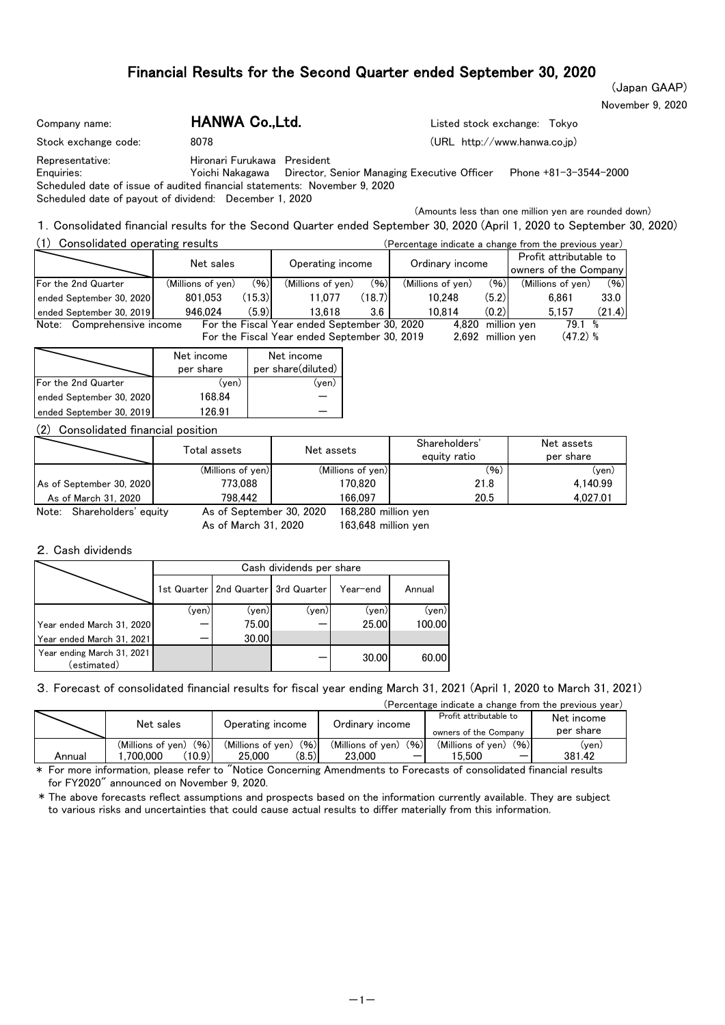November 9, 2020 (Japan GAAP)

| Company name:                                                                                                                                                        | HANWA Co., Ltd.             | Listed stock exchange: Tokyo                                                                                            |
|----------------------------------------------------------------------------------------------------------------------------------------------------------------------|-----------------------------|-------------------------------------------------------------------------------------------------------------------------|
| Stock exchange code:                                                                                                                                                 | 8078                        | (URL http://www.hanwa.co.jp)                                                                                            |
| Representative:<br>Enauiries:<br>Scheduled date of issue of audited financial statements: November 9, 2020<br>Scheduled date of payout of dividend: December 1, 2020 | Hironari Furukawa President | Phone +81-3-3544-2000<br>Yoichi Nakagawa Director, Senior Managing Executive Officer                                    |
|                                                                                                                                                                      |                             | (Amounts less than one million yen are rounded down)                                                                    |
|                                                                                                                                                                      |                             | 1. Consolidated financial results for the Second Quarter ended September 30, 2020 (April 1, 2020 to September 30, 2020) |

| Consolidated operating results |                   |                  | (Percentage indicate a change from the previous year) |        |                   |                   |                                                 |                   |        |
|--------------------------------|-------------------|------------------|-------------------------------------------------------|--------|-------------------|-------------------|-------------------------------------------------|-------------------|--------|
|                                | Net sales         | Operating income |                                                       |        | Ordinary income   |                   | Profit attributable to<br>owners of the Company |                   |        |
| For the 2nd Quarter            | (Millions of yen) | (96)             | (Millions of yen)                                     | (96)   | (Millions of yen) | (96)              |                                                 | (Millions of ven) | (96)   |
| ended September 30, 2020       | 801.053           | (15.3)           | 11.077                                                | (18.7) | 10.248            | (5.2)             |                                                 | 6.861             | 33.0   |
| ended September 30, 2019       | 946.024           | (5.9)            | 13.618                                                | 3.6    | 10.814            | (0.2)             |                                                 | 5.157             | (21.4) |
| Comprehensive income<br>Note:  |                   |                  | For the Fiscal Year ended September 30, 2020          |        | 4.820             |                   | million ven                                     | 79.1 %            |        |
|                                |                   |                  | For the Fiscal Year ended September 30, 2019          |        |                   | 2.692 million ven |                                                 | $(47.2)$ %        |        |

|                          | Net income<br>per share | Net income<br>per share(diluted) |
|--------------------------|-------------------------|----------------------------------|
| For the 2nd Quarter      | (ven)                   | (ven)                            |
| ended September 30, 2020 | 168.84                  |                                  |
| ended September 30, 2019 | 126.91                  |                                  |

#### (2) Consolidated financial position

|                               | Total assets             | Net assets          | Shareholders'<br>equity ratio | Net assets<br>per share |
|-------------------------------|--------------------------|---------------------|-------------------------------|-------------------------|
|                               | (Millions of yen)        | (Millions of yen)   | (96)                          | (ven)                   |
| As of September 30, 20201     | 773.088                  | 170.820             | 21.8                          | 4.140.99                |
| As of March 31, 2020          | 798.442                  | 166.097             | 20.5                          | 4.027.01                |
| Note:<br>Shareholders' equity | As of September 30, 2020 | 168,280 million yen |                               |                         |

As of March 31, 2020 163,648 million yen 168,280

#### 2.Cash dividends

|                                           |       | Cash dividends per share                |       |          |        |  |  |  |  |  |  |  |
|-------------------------------------------|-------|-----------------------------------------|-------|----------|--------|--|--|--|--|--|--|--|
|                                           |       | 1st Quarter   2nd Quarter   3rd Quarter |       | Year-end | Annual |  |  |  |  |  |  |  |
|                                           | (ven) | (ven)                                   | (yen) | (yen)    | (yen)  |  |  |  |  |  |  |  |
| Year ended March 31, 2020                 |       | 75.00                                   |       | 25.00    | 100.00 |  |  |  |  |  |  |  |
| Year ended March 31, 2021                 |       | 30.00                                   |       |          |        |  |  |  |  |  |  |  |
| Year ending March 31, 2021<br>(estimated) |       |                                         |       | 30.00    | 60.00  |  |  |  |  |  |  |  |

3.Forecast of consolidated financial results for fiscal year ending March 31, 2021 (April 1, 2020 to March 31, 2021)

|        | (Percentage indicate a change from the previous year) |                           |                           |                           |            |  |  |  |  |  |  |  |  |  |
|--------|-------------------------------------------------------|---------------------------|---------------------------|---------------------------|------------|--|--|--|--|--|--|--|--|--|
|        | Net sales<br>Operating income                         |                           | Ordinary income           | Profit attributable to    | Net income |  |  |  |  |  |  |  |  |  |
|        |                                                       |                           |                           | owners of the Company     | per share  |  |  |  |  |  |  |  |  |  |
|        | (96)<br>(Millions of ven)                             | (96)<br>(Millions of ven) | (96)<br>(Millions of yen) | (96)<br>(Millions of yen) | (ven)      |  |  |  |  |  |  |  |  |  |
| Annual | (10.9)<br>700.000                                     | (8.5)<br>25,000           | 23.000                    | 5.500                     | 381.42     |  |  |  |  |  |  |  |  |  |

\* For more information, please refer to "Notice Concerning Amendments to Forecasts of consolidated financial results for FY2020" announced on November 9, 2020.

\* The above forecasts reflect assumptions and prospects based on the information currently available. They are subject to various risks and uncertainties that could cause actual results to differ materially from this information.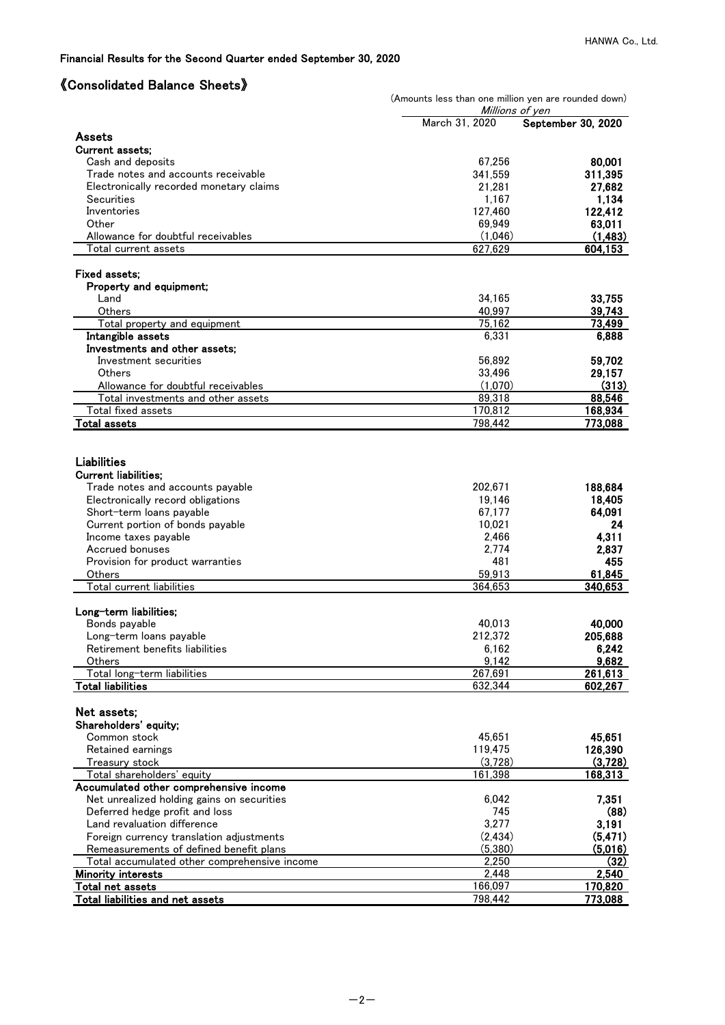# 《Consolidated Balance Sheets》

|                                                               | (Amounts less than one million yen are rounded down)<br>Millions of yen |                    |  |  |  |  |  |  |
|---------------------------------------------------------------|-------------------------------------------------------------------------|--------------------|--|--|--|--|--|--|
|                                                               | March 31, 2020                                                          | September 30, 2020 |  |  |  |  |  |  |
| Assets                                                        |                                                                         |                    |  |  |  |  |  |  |
| <b>Current assets:</b>                                        |                                                                         |                    |  |  |  |  |  |  |
| Cash and deposits<br>Trade notes and accounts receivable      | 67,256                                                                  | 80,001<br>311,395  |  |  |  |  |  |  |
| Electronically recorded monetary claims                       | 341,559<br>21,281                                                       | 27,682             |  |  |  |  |  |  |
| Securities                                                    | 1,167                                                                   | 1,134              |  |  |  |  |  |  |
| Inventories                                                   | 127,460                                                                 | 122,412            |  |  |  |  |  |  |
| Other                                                         | 69,949                                                                  | 63,011             |  |  |  |  |  |  |
| Allowance for doubtful receivables                            | (1,046)                                                                 | (1,483)            |  |  |  |  |  |  |
| Total current assets                                          | 627,629                                                                 | 604,153            |  |  |  |  |  |  |
| Fixed assets:                                                 |                                                                         |                    |  |  |  |  |  |  |
| Property and equipment;                                       |                                                                         |                    |  |  |  |  |  |  |
| Land                                                          | 34,165                                                                  | 33,755             |  |  |  |  |  |  |
| Others                                                        | 40,997                                                                  | 39,743             |  |  |  |  |  |  |
| Total property and equipment                                  | 75,162                                                                  | 73,499             |  |  |  |  |  |  |
| Intangible assets                                             | 6,331                                                                   | 6,888              |  |  |  |  |  |  |
| Investments and other assets;                                 |                                                                         |                    |  |  |  |  |  |  |
| Investment securities                                         | 56,892                                                                  | 59,702             |  |  |  |  |  |  |
| Others                                                        | 33,496                                                                  | 29,157             |  |  |  |  |  |  |
| Allowance for doubtful receivables                            | (1,070)                                                                 | (313)              |  |  |  |  |  |  |
| Total investments and other assets                            | 89,318                                                                  | 88,546             |  |  |  |  |  |  |
| Total fixed assets                                            | 170,812                                                                 | 168,934            |  |  |  |  |  |  |
| <b>Total assets</b>                                           | 798,442                                                                 | 773,088            |  |  |  |  |  |  |
|                                                               |                                                                         |                    |  |  |  |  |  |  |
| Liabilities                                                   |                                                                         |                    |  |  |  |  |  |  |
| <b>Current liabilities;</b>                                   |                                                                         |                    |  |  |  |  |  |  |
| Trade notes and accounts payable                              | 202,671                                                                 | 188,684            |  |  |  |  |  |  |
| Electronically record obligations<br>Short-term loans payable | 19,146<br>67,177                                                        | 18,405<br>64,091   |  |  |  |  |  |  |
| Current portion of bonds payable                              | 10,021                                                                  | 24                 |  |  |  |  |  |  |
| Income taxes pavable                                          | 2,466                                                                   | 4,311              |  |  |  |  |  |  |
| Accrued bonuses                                               | 2,774                                                                   | 2,837              |  |  |  |  |  |  |
| Provision for product warranties                              | 481                                                                     | 455                |  |  |  |  |  |  |
| Others                                                        | 59,913                                                                  | 61,845             |  |  |  |  |  |  |
| Total current liabilities                                     | 364,653                                                                 | 340,653            |  |  |  |  |  |  |
|                                                               |                                                                         |                    |  |  |  |  |  |  |
| Long-term liabilities;<br>Bonds payable                       | 40,013                                                                  | 40,000             |  |  |  |  |  |  |
| Long-term loans payable                                       | 212,372                                                                 | 205,688            |  |  |  |  |  |  |
| Retirement benefits liabilities                               | 6,162                                                                   | 6,242              |  |  |  |  |  |  |
| <b>Others</b>                                                 | 9,142                                                                   | 9,682              |  |  |  |  |  |  |
| Total long-term liabilities                                   | 267,691                                                                 | 261,613            |  |  |  |  |  |  |
| <b>Total liabilities</b>                                      | 632,344                                                                 | 602,267            |  |  |  |  |  |  |
|                                                               |                                                                         |                    |  |  |  |  |  |  |
| Net assets;<br>Shareholders' equity;                          |                                                                         |                    |  |  |  |  |  |  |
| Common stock                                                  | 45,651                                                                  | 45,651             |  |  |  |  |  |  |
| Retained earnings                                             | 119,475                                                                 | 126,390            |  |  |  |  |  |  |
| Treasury stock                                                | (3,728)                                                                 | (3,728)            |  |  |  |  |  |  |
| Total shareholders' equity                                    | 161,398                                                                 | 168,313            |  |  |  |  |  |  |
| Accumulated other comprehensive income                        |                                                                         |                    |  |  |  |  |  |  |
| Net unrealized holding gains on securities                    | 6,042                                                                   | 7,351              |  |  |  |  |  |  |
| Deferred hedge profit and loss                                | 745                                                                     | (88)               |  |  |  |  |  |  |
| Land revaluation difference                                   | 3,277                                                                   | 3,191              |  |  |  |  |  |  |
| Foreign currency translation adjustments                      | (2, 434)                                                                | (5, 471)           |  |  |  |  |  |  |
| Remeasurements of defined benefit plans                       | (5,380)                                                                 | (5,016)            |  |  |  |  |  |  |
| Total accumulated other comprehensive income                  | 2,250                                                                   | (32)               |  |  |  |  |  |  |
| <b>Minority interests</b>                                     | 2,448                                                                   | 2,540              |  |  |  |  |  |  |
| Total net assets                                              | 166,097                                                                 | 170,820            |  |  |  |  |  |  |
| Total liabilities and net assets                              | 798,442                                                                 | 773,088            |  |  |  |  |  |  |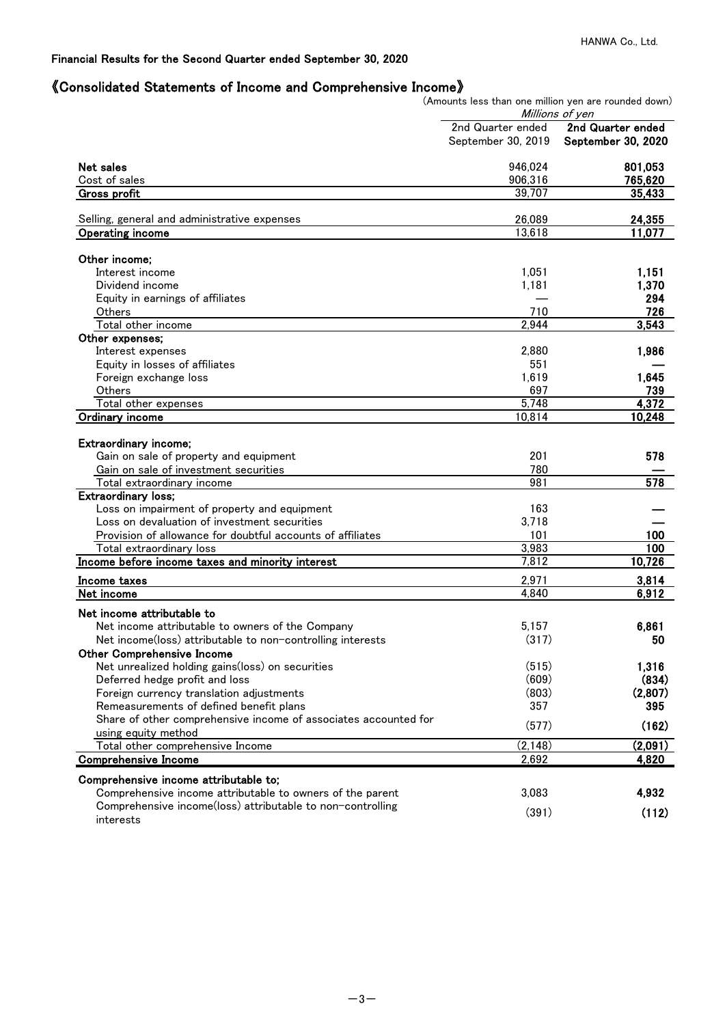# 《Consolidated Statements of Income and Comprehensive Income》

(Amounts less than one million yen are rounded down)

|                                                                 |                    | Millions of yen    |
|-----------------------------------------------------------------|--------------------|--------------------|
|                                                                 | 2nd Quarter ended  | 2nd Quarter ended  |
|                                                                 | September 30, 2019 | September 30, 2020 |
| Net sales                                                       | 946,024            | 801,053            |
| Cost of sales                                                   | 906,316            | 765,620            |
| <b>Gross profit</b>                                             | 39.707             | 35,433             |
| Selling, general and administrative expenses                    | 26,089             | 24,355             |
| <b>Operating income</b>                                         | 13,618             | 11,077             |
|                                                                 |                    |                    |
| Other income:                                                   |                    |                    |
| Interest income                                                 | 1,051              | 1,151              |
| Dividend income                                                 | 1,181              | 1,370              |
| Equity in earnings of affiliates                                |                    | 294                |
| Others                                                          | 710                | 726                |
| Total other income                                              | 2,944              | 3,543              |
| Other expenses;                                                 |                    |                    |
| Interest expenses                                               | 2.880              | 1,986              |
| Equity in losses of affiliates                                  | 551                |                    |
| Foreign exchange loss                                           | 1,619              | 1,645              |
| Others                                                          | 697                | 739                |
| Total other expenses                                            | 5,748              | 4,372              |
| <b>Ordinary income</b>                                          | 10,814             | 10,248             |
| Extraordinary income;                                           |                    |                    |
| Gain on sale of property and equipment                          | 201                | 578                |
| Gain on sale of investment securities                           | 780                |                    |
| Total extraordinary income                                      | 981                | $\overline{578}$   |
| <b>Extraordinary loss;</b>                                      |                    |                    |
| Loss on impairment of property and equipment                    | 163                |                    |
| Loss on devaluation of investment securities                    | 3,718              |                    |
| Provision of allowance for doubtful accounts of affiliates      | 101                | 100                |
| Total extraordinary loss                                        | 3,983              | 100                |
| Income before income taxes and minority interest                | 7,812              | 10,726             |
|                                                                 |                    |                    |
| Income taxes<br>Net income                                      | 2,971<br>4,840     | 3,814              |
|                                                                 |                    | 6,912              |
| Net income attributable to                                      |                    |                    |
| Net income attributable to owners of the Company                | 5,157              | 6,861              |
| Net income(loss) attributable to non-controlling interests      | (317)              | 50                 |
| Other Comprehensive Income                                      |                    |                    |
| Net unrealized holding gains(loss) on securities                | (515)              | 1,316              |
| Deferred hedge profit and loss                                  | (609)              | (834)              |
| Foreign currency translation adjustments                        | (803)              | (2,807)            |
| Remeasurements of defined benefit plans                         | 357                | 395                |
| Share of other comprehensive income of associates accounted for | (577)              | (162)              |
| using equity method                                             |                    |                    |
| Total other comprehensive Income                                | (2, 148)           | (2,091)            |
| <b>Comprehensive Income</b>                                     | 2,692              | 4,820              |
| Comprehensive income attributable to;                           |                    |                    |
| Comprehensive income attributable to owners of the parent       | 3,083              | 4,932              |
| Comprehensive income(loss) attributable to non-controlling      |                    |                    |
| interests                                                       | (391)              | (112)              |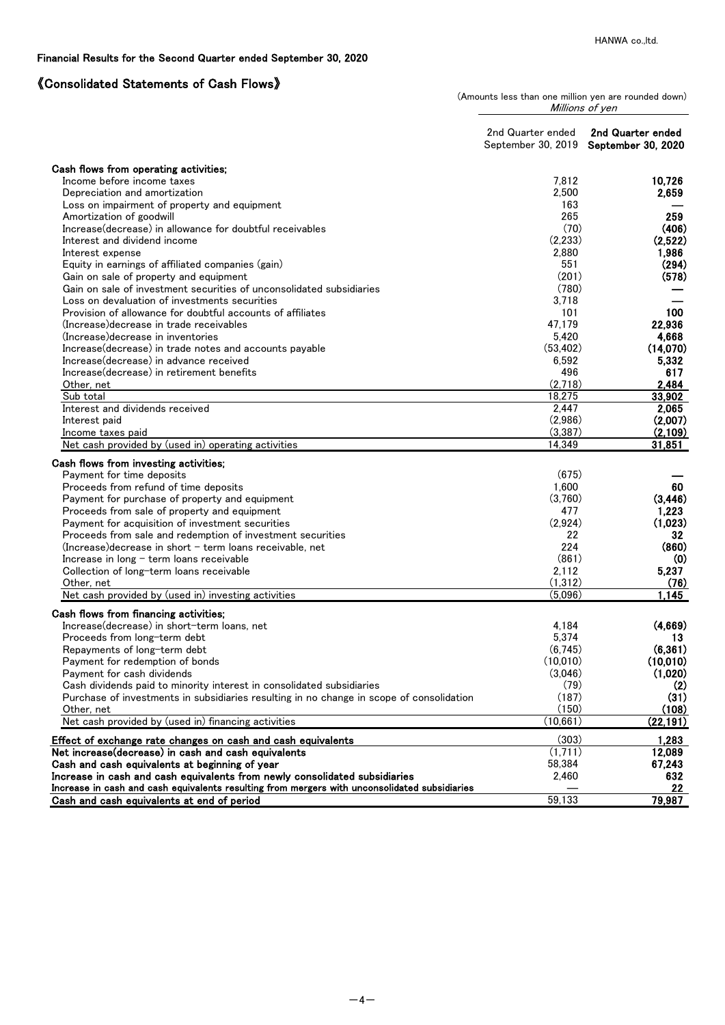# 《Consolidated Statements of Cash Flows》

| (Amounts less than one million yen are rounded down) |  |                 |  |  |
|------------------------------------------------------|--|-----------------|--|--|
|                                                      |  | Millions of yen |  |  |

|                                                                                               | 2nd Quarter ended | 2nd Quarter ended<br>September 30, 2019 September 30, 2020 |
|-----------------------------------------------------------------------------------------------|-------------------|------------------------------------------------------------|
| Cash flows from operating activities;                                                         |                   |                                                            |
| Income before income taxes                                                                    | 7,812             | 10,726                                                     |
| Depreciation and amortization                                                                 | 2,500             | 2,659                                                      |
| Loss on impairment of property and equipment                                                  | 163               |                                                            |
| Amortization of goodwill                                                                      | 265               | 259                                                        |
| Increase(decrease) in allowance for doubtful receivables                                      | (70)              | (406)                                                      |
| Interest and dividend income                                                                  | (2,233)           | (2,522)                                                    |
| Interest expense                                                                              | 2,880             | 1,986                                                      |
| Equity in earnings of affiliated companies (gain)                                             | 551               | (294)                                                      |
| Gain on sale of property and equipment                                                        | (201)             | (578)                                                      |
| Gain on sale of investment securities of unconsolidated subsidiaries                          | (780)             |                                                            |
| Loss on devaluation of investments securities                                                 | 3,718             |                                                            |
| Provision of allowance for doubtful accounts of affiliates                                    | 101               | 100                                                        |
| (Increase) decrease in trade receivables                                                      | 47,179            | 22,936                                                     |
| (Increase) decrease in inventories                                                            | 5,420             | 4,668                                                      |
| Increase(decrease) in trade notes and accounts payable                                        | (53, 402)         | (14,070)                                                   |
| Increase (decrease) in advance received                                                       | 6,592             | 5,332                                                      |
| Increase (decrease) in retirement benefits                                                    | 496               | 617                                                        |
| Other, net                                                                                    | (2,718)           | 2,484                                                      |
| Sub total                                                                                     | 18,275            | 33,902                                                     |
| Interest and dividends received                                                               | 2,447             | 2,065                                                      |
| Interest paid                                                                                 | (2,986)           | (2,007)                                                    |
| Income taxes paid                                                                             | (3, 387)          | (2,109)                                                    |
| Net cash provided by (used in) operating activities                                           | 14,349            | 31,851                                                     |
| Cash flows from investing activities;                                                         |                   |                                                            |
| Payment for time deposits                                                                     | (675)             |                                                            |
| Proceeds from refund of time deposits                                                         | 1,600             | 60                                                         |
| Payment for purchase of property and equipment                                                | (3,760)           | (3, 446)                                                   |
| Proceeds from sale of property and equipment                                                  | 477               | 1,223                                                      |
| Payment for acquisition of investment securities                                              | (2,924)           | (1,023)                                                    |
| Proceeds from sale and redemption of investment securities                                    | 22                | 32                                                         |
| $(Increase) decrease$ in short $-$ term loans receivable, net                                 | 224               | (860)                                                      |
| Increase in long - term loans receivable                                                      | (861)             | (0)                                                        |
| Collection of long-term loans receivable                                                      | 2,112             | 5,237                                                      |
| Other, net                                                                                    | (1, 312)          | (76)                                                       |
| Net cash provided by (used in) investing activities                                           | (5,096)           | 1,145                                                      |
| Cash flows from financing activities;                                                         |                   |                                                            |
| Increase(decrease) in short-term loans, net                                                   | 4,184             | (4,669)                                                    |
| Proceeds from long-term debt                                                                  | 5,374             | 13                                                         |
| Repayments of long-term debt                                                                  | (6,745)           | (6, 361)                                                   |
| Payment for redemption of bonds                                                               | (10,010)          | (10,010)                                                   |
| Payment for cash dividends                                                                    | (3,046)           | (1,020)                                                    |
| Cash dividends paid to minority interest in consolidated subsidiaries                         | (79)              | (2)                                                        |
| Purchase of investments in subsidiaries resulting in no change in scope of consolidation      | (187)             | (31)                                                       |
| Other, net                                                                                    | (150)             | (108)                                                      |
| Net cash provided by (used in) financing activities                                           | (10,661)          | (22, 191)                                                  |
| Effect of exchange rate changes on cash and cash equivalents                                  | (303)             | 1,283                                                      |
| Net increase(decrease) in cash and cash equivalents                                           | (1,711)           | 12,089                                                     |
| Cash and cash equivalents at beginning of year                                                | 58,384            | 67,243                                                     |
| Increase in cash and cash equivalents from newly consolidated subsidiaries                    | 2,460             | 632                                                        |
| Increase in cash and cash equivalents resulting from mergers with unconsolidated subsidiaries |                   | 22                                                         |
| Cash and cash equivalents at end of period                                                    | 59,133            | 79,987                                                     |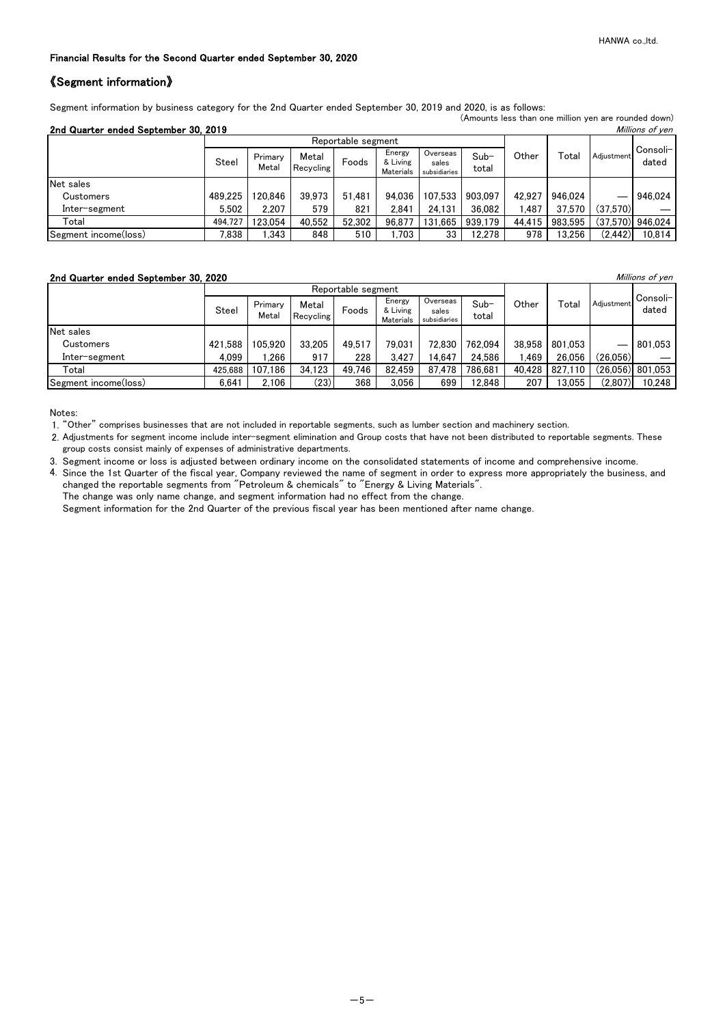# 《Segment information》

Segment information by business category for the 2nd Quarter ended September 30, 2019 and 2020, is as follows:

|                                                         |         |                  |                    |                    |                                        |                                   |                 |        |         | (Amounts less than one million yen are rounded down) |                    |  |
|---------------------------------------------------------|---------|------------------|--------------------|--------------------|----------------------------------------|-----------------------------------|-----------------|--------|---------|------------------------------------------------------|--------------------|--|
| 2nd Quarter ended September 30, 2019<br>Millions of yen |         |                  |                    |                    |                                        |                                   |                 |        |         |                                                      |                    |  |
|                                                         |         |                  |                    | Reportable segment |                                        |                                   |                 |        |         | Adiustment                                           |                    |  |
|                                                         | Steel   | Primary<br>Metal | Metal<br>Recycling | Foods              | Energy<br>& Living<br><b>Materials</b> | Overseas<br>sales<br>subsidiaries | $Sub-$<br>total | Other  | Total   |                                                      | Consoli-<br>dated  |  |
| Net sales                                               |         |                  |                    |                    |                                        |                                   |                 |        |         |                                                      |                    |  |
| Customers                                               | 489.225 | 120.846          | 39.973             | 51.481             | 94.036                                 | 107.533                           | 903.097         | 42.927 | 946.024 |                                                      | 946.024            |  |
| Inter-segment                                           | 5.502   | 2.207            | 579                | 821                | 2.841                                  | 24.131                            | 36,082          | ,487   | 37,570  | (37,570)                                             |                    |  |
| Total                                                   | 494,727 | 123.054          | 40.552             | 52,302             | 96.877                                 | 131.665                           | 939,179         | 44.415 | 983.595 |                                                      | $(37.570)$ 946,024 |  |
| Segment income(loss)                                    | 7,838   | 1,343            | 848                | 510                | 1.703                                  | 33                                | 12,278          | 978    | 13,256  | (2, 442)                                             | 10,814             |  |

# 2nd Quarter ended September 30, 2020 **Millions of yen** Millions of yen

|                      |         |                  |                    | Reportable segment |                                        |                                   |                 |        |         |            |                    |
|----------------------|---------|------------------|--------------------|--------------------|----------------------------------------|-----------------------------------|-----------------|--------|---------|------------|--------------------|
|                      | Steel   | Primary<br>Metal | Metal<br>Recycling | Foods              | Energy<br>& Living<br><b>Materials</b> | Overseas<br>sales<br>subsidiaries | $Sub-$<br>total | Other  | Total   | Adjustment | Consoli-<br>dated  |
| Net sales            |         |                  |                    |                    |                                        |                                   |                 |        |         |            |                    |
| <b>Customers</b>     | 421.588 | 105.920          | 33,205             | 49.517             | 79.031                                 | 72.830                            | 762.094         | 38,958 | 801.053 |            | 801,053            |
| Inter–segment        | 4.099   | .266             | 917                | 228                | 3.427                                  | 14.647                            | 24,586          | .469   | 26.056  | (26,056)   |                    |
| Total                | 425.688 | 107.186          | 34,123             | 49,746             | 82.459                                 | 87.478                            | 786,681         | 40,428 | 827,110 |            | $(26,056)$ 801,053 |
| Segment income(loss) | 6.641   | 2.106            | (23)               | 368                | 3.056                                  | 699                               | 12,848          | 207    | 13,055  | (2,807)    | 10,248             |

Notes:

1. "Other" comprises businesses that are not included in reportable segments, such as lumber section and machinery section.

2. Adjustments for segment income include inter-segment elimination and Group costs that have not been distributed to reportable segments. These group costs consist mainly of expenses of administrative departments.

3. Segment income or loss is adjusted between ordinary income on the consolidated statements of income and comprehensive income.

4. Since the 1st Quarter of the fiscal year, Company reviewed the name of segment in order to express more appropriately the business, and changed the reportable segments from "Petroleum & chemicals" to "Energy & Living Materials". The change was only name change, and segment information had no effect from the change.

Segment information for the 2nd Quarter of the previous fiscal year has been mentioned after name change.